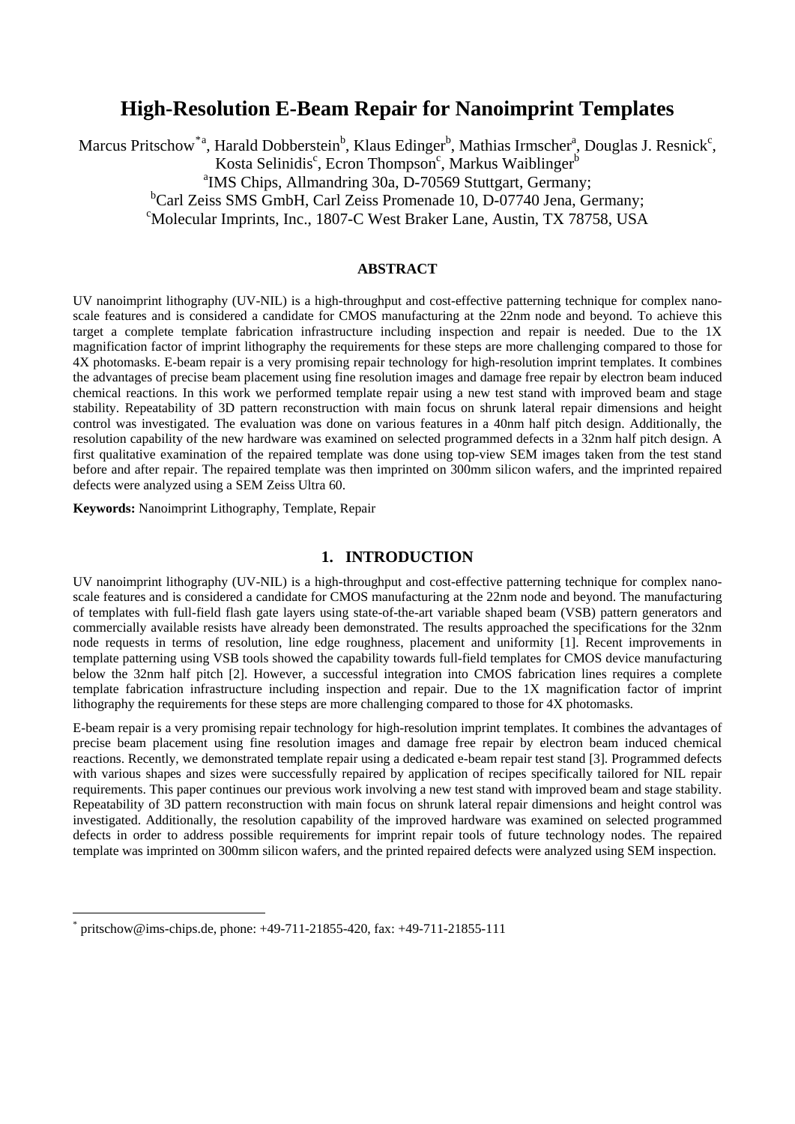# **High-Resolution E-Beam Repair for Nanoimprint Templates**

Marcus Pritschow<sup>[\\*](#page-0-0)a</sup>, Harald Dobberstein<sup>b</sup>, Klaus Edinger<sup>b</sup>, Mathias Irmscher<sup>a</sup>, Douglas J. Resnick<sup>c</sup>, Kosta Selinidis<sup>c</sup>, Ecron Thompson<sup>c</sup>, Markus Waiblinger<sup>b</sup> <sup>a</sup>IMS Chips, Allmandring 30a, D-70569 Stuttgart, Germany; <sup>b</sup>Carl Zeiss SMS GmbH, Carl Zeiss Promenade 10, D-07740 Jena, Germany; Molecular Imprints, Inc., 1807-C West Braker Lane, Austin, TX 78758, USA

### **ABSTRACT**

UV nanoimprint lithography (UV-NIL) is a high-throughput and cost-effective patterning technique for complex nanoscale features and is considered a candidate for CMOS manufacturing at the 22nm node and beyond. To achieve this target a complete template fabrication infrastructure including inspection and repair is needed. Due to the 1X magnification factor of imprint lithography the requirements for these steps are more challenging compared to those for 4X photomasks. E-beam repair is a very promising repair technology for high-resolution imprint templates. It combines the advantages of precise beam placement using fine resolution images and damage free repair by electron beam induced chemical reactions. In this work we performed template repair using a new test stand with improved beam and stage stability. Repeatability of 3D pattern reconstruction with main focus on shrunk lateral repair dimensions and height control was investigated. The evaluation was done on various features in a 40nm half pitch design. Additionally, the resolution capability of the new hardware was examined on selected programmed defects in a 32nm half pitch design. A first qualitative examination of the repaired template was done using top-view SEM images taken from the test stand before and after repair. The repaired template was then imprinted on 300mm silicon wafers, and the imprinted repaired defects were analyzed using a SEM Zeiss Ultra 60.

**Keywords:** Nanoimprint Lithography, Template, Repair

## **1. INTRODUCTION**

UV nanoimprint lithography (UV-NIL) is a high-throughput and cost-effective patterning technique for complex nanoscale features and is considered a candidate for CMOS manufacturing at the 22nm node and beyond. The manufacturing of templates with full-field flash gate layers using state-of-the-art variable shaped beam (VSB) pattern generators and commercially available resists have already been demonstrated. The results approached the specifications for the 32nm node requests in terms of resolution, line edge roughness, placement and uniformity [[1\]](#page-3-0). Recent improvements in template patterning using VSB tools showed the capability towards full-field templates for CMOS device manufacturing below the 32nm half pitch [[2\]](#page-3-1). However, a successful integration into CMOS fabrication lines requires a complete template fabrication infrastructure including inspection and repair. Due to the 1X magnification factor of imprint lithography the requirements for these steps are more challenging compared to those for 4X photomasks.

E-beam repair is a very promising repair technology for high-resolution imprint templates. It combines the advantages of precise beam placement using fine resolution images and damage free repair by electron beam induced chemical reactions. Recently, we demonstrated template repair using a dedicated e-beam repair test stand [[3\]](#page-3-2). Programmed defects with various shapes and sizes were successfully repaired by application of recipes specifically tailored for NIL repair requirements. This paper continues our previous work involving a new test stand with improved beam and stage stability. Repeatability of 3D pattern reconstruction with main focus on shrunk lateral repair dimensions and height control was investigated. Additionally, the resolution capability of the improved hardware was examined on selected programmed defects in order to address possible requirements for imprint repair tools of future technology nodes. The repaired template was imprinted on 300mm silicon wafers, and the printed repaired defects were analyzed using SEM inspection.

1

<span id="page-0-0"></span><sup>\*</sup> pritschow@ims-chips.de, phone: +49-711-21855-420, fax: +49-711-21855-111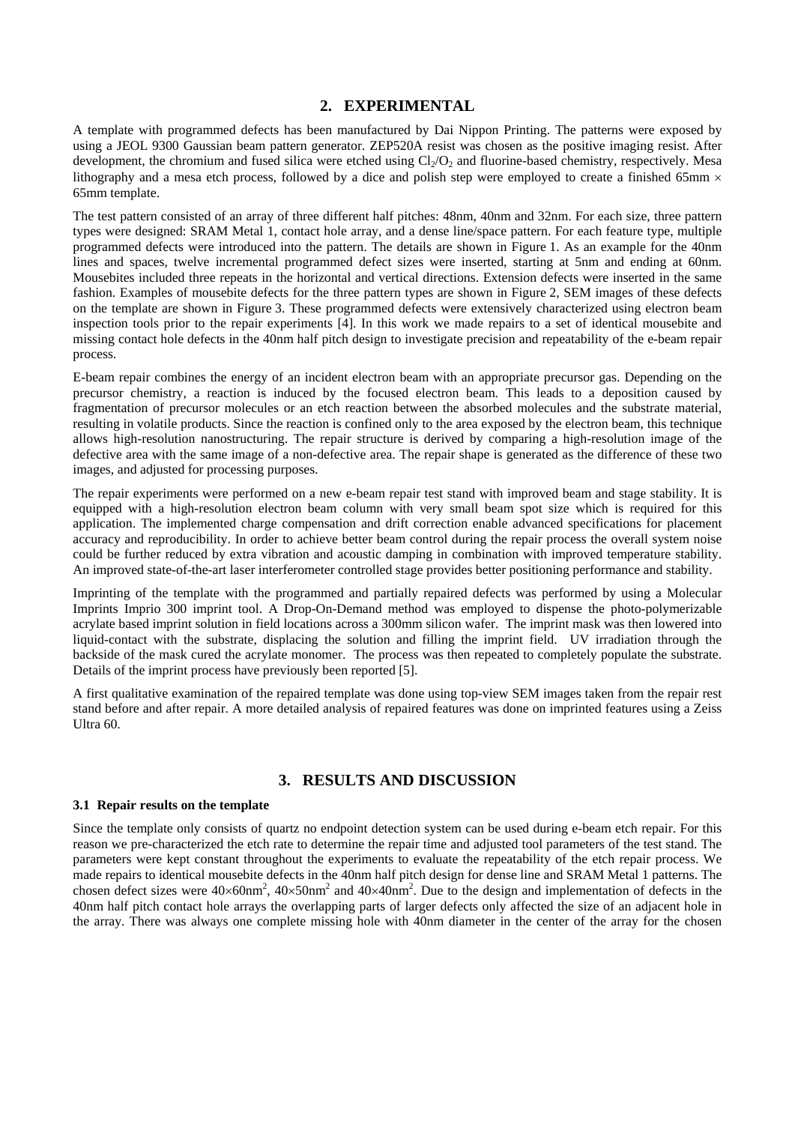# **2. EXPERIMENTAL**

A template with programmed defects has been manufactured by Dai Nippon Printing. The patterns were exposed by using a JEOL 9300 Gaussian beam pattern generator. ZEP520A resist was chosen as the positive imaging resist. After development, the chromium and fused silica were etched using  $Cl<sub>2</sub>/O<sub>2</sub>$  and fluorine-based chemistry, respectively. Mesa lithography and a mesa etch process, followed by a dice and polish step were employed to create a finished 65mm  $\times$ 65mm template.

The test pattern consisted of an array of three different half pitches: 48nm, 40nm and 32nm. For each size, three pattern types were designed: SRAM Metal 1, contact hole array, and a dense line/space pattern. For each feature type, multiple programmed defects were introduced into the pattern. The details are shown in Figure [1.](#page-4-0) As an example for the 40nm lines and spaces, twelve incremental programmed defect sizes were inserted, starting at 5nm and ending at 60nm. Mousebites included three repeats in the horizontal and vertical directions. Extension defects were inserted in the same fashion. Examples of mousebite defects for the three pattern types are shown in Figure [2,](#page-4-1) SEM images of these defects on the template are shown in Figure [3](#page-5-0). These programmed defects were extensively characterized using electron beam inspection tools prior to the repair experiments [\[4](#page-3-3)]. In this work we made repairs to a set of identical mousebite and missing contact hole defects in the 40nm half pitch design to investigate precision and repeatability of the e-beam repair process.

E-beam repair combines the energy of an incident electron beam with an appropriate precursor gas. Depending on the precursor chemistry, a reaction is induced by the focused electron beam. This leads to a deposition caused by fragmentation of precursor molecules or an etch reaction between the absorbed molecules and the substrate material, resulting in volatile products. Since the reaction is confined only to the area exposed by the electron beam, this technique allows high-resolution nanostructuring. The repair structure is derived by comparing a high-resolution image of the defective area with the same image of a non-defective area. The repair shape is generated as the difference of these two images, and adjusted for processing purposes.

The repair experiments were performed on a new e-beam repair test stand with improved beam and stage stability. It is equipped with a high-resolution electron beam column with very small beam spot size which is required for this application. The implemented charge compensation and drift correction enable advanced specifications for placement accuracy and reproducibility. In order to achieve better beam control during the repair process the overall system noise could be further reduced by extra vibration and acoustic damping in combination with improved temperature stability. An improved state-of-the-art laser interferometer controlled stage provides better positioning performance and stability.

Imprinting of the template with the programmed and partially repaired defects was performed by using a Molecular Imprints Imprio 300 imprint tool. A Drop-On-Demand method was employed to dispense the photo-polymerizable acrylate based imprint solution in field locations across a 300mm silicon wafer. The imprint mask was then lowered into liquid-contact with the substrate, displacing the solution and filling the imprint field. UV irradiation through the backside of the mask cured the acrylate monomer. The process was then repeated to completely populate the substrate. Details of the imprint process have previously been reported [\[5](#page-3-4)].

A first qualitative examination of the repaired template was done using top-view SEM images taken from the repair rest stand before and after repair. A more detailed analysis of repaired features was done on imprinted features using a Zeiss Ultra 60.

# **3. RESULTS AND DISCUSSION**

#### **3.1 Repair results on the template**

Since the template only consists of quartz no endpoint detection system can be used during e-beam etch repair. For this reason we pre-characterized the etch rate to determine the repair time and adjusted tool parameters of the test stand. The parameters were kept constant throughout the experiments to evaluate the repeatability of the etch repair process. We made repairs to identical mousebite defects in the 40nm half pitch design for dense line and SRAM Metal 1 patterns. The chosen defect sizes were  $40\times60$ nm<sup>2</sup>,  $40\times50$ nm<sup>2</sup> and  $40\times40$ nm<sup>2</sup>. Due to the design and implementation of defects in the 40nm half pitch contact hole arrays the overlapping parts of larger defects only affected the size of an adjacent hole in the array. There was always one complete missing hole with 40nm diameter in the center of the array for the chosen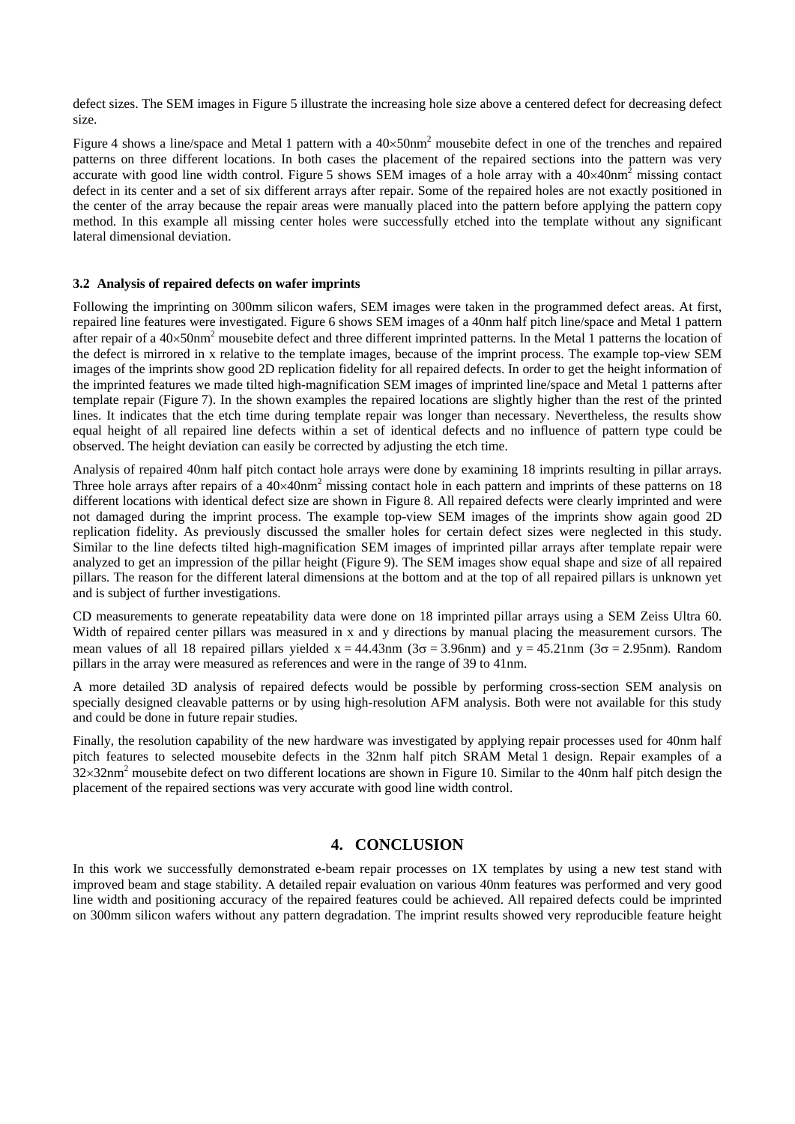defect sizes. The SEM images in Figure [5](#page-6-0) illustrate the increasing hole size above a centered defect for decreasing defect size.

Figure [4](#page-5-1) shows a line/space and Metal 1 pattern with a  $40 \times 50$ nm<sup>2</sup> mousebite defect in one of the trenches and repaired patterns on three different locations. In both cases the placement of the repaired sections into the pattern was very accurate with good line width control. Figure [5](#page-6-0) shows SEM images of a hole array with a  $40\times40$ nm<sup>2</sup> missing contact defect in its center and a set of six different arrays after repair. Some of the repaired holes are not exactly positioned in the center of the array because the repair areas were manually placed into the pattern before applying the pattern copy method. In this example all missing center holes were successfully etched into the template without any significant lateral dimensional deviation.

#### **3.2 Analysis of repaired defects on wafer imprints**

Following the imprinting on 300mm silicon wafers, SEM images were taken in the programmed defect areas. At first, repaired line features were investigated. Figure [6](#page-6-1) shows SEM images of a 40nm half pitch line/space and Metal 1 pattern after repair of a  $40\times50$ nm<sup>2</sup> mousebite defect and three different imprinted patterns. In the Metal 1 patterns the location of the defect is mirrored in x relative to the template images, because of the imprint process. The example top-view SEM images of the imprints show good 2D replication fidelity for all repaired defects. In order to get the height information of the imprinted features we made tilted high-magnification SEM images of imprinted line/space and Metal 1 patterns after template repair (Figure [7\)](#page-7-0). In the shown examples the repaired locations are slightly higher than the rest of the printed lines. It indicates that the etch time during template repair was longer than necessary. Nevertheless, the results show equal height of all repaired line defects within a set of identical defects and no influence of pattern type could be observed. The height deviation can easily be corrected by adjusting the etch time.

Analysis of repaired 40nm half pitch contact hole arrays were done by examining 18 imprints resulting in pillar arrays. Three hole arrays after repairs of a  $40\times40$ nm<sup>2</sup> missing contact hole in each pattern and imprints of these patterns on 18 different locations with identical defect size are shown in Figure [8](#page-8-0). All repaired defects were clearly imprinted and were not damaged during the imprint process. The example top-view SEM images of the imprints show again good 2D replication fidelity. As previously discussed the smaller holes for certain defect sizes were neglected in this study. Similar to the line defects tilted high-magnification SEM images of imprinted pillar arrays after template repair were analyzed to get an impression of the pillar height (Figure [9\)](#page-9-0). The SEM images show equal shape and size of all repaired pillars. The reason for the different lateral dimensions at the bottom and at the top of all repaired pillars is unknown yet and is subject of further investigations.

CD measurements to generate repeatability data were done on 18 imprinted pillar arrays using a SEM Zeiss Ultra 60. Width of repaired center pillars was measured in x and y directions by manual placing the measurement cursors. The mean values of all 18 repaired pillars yielded  $x = 44.43$ nm ( $3\sigma = 3.96$ nm) and  $y = 45.21$ nm ( $3\sigma = 2.95$ nm). Random pillars in the array were measured as references and were in the range of 39 to 41nm.

A more detailed 3D analysis of repaired defects would be possible by performing cross-section SEM analysis on specially designed cleavable patterns or by using high-resolution AFM analysis. Both were not available for this study and could be done in future repair studies.

Finally, the resolution capability of the new hardware was investigated by applying repair processes used for 40nm half pitch features to selected mousebite defects in the 32nm half pitch SRAM Metal 1 design. Repair examples of a  $32\times32$ nm<sup>2</sup> mousebite defect on two different locations are shown in Figure [10.](#page-10-0) Similar to the 40nm half pitch design the placement of the repaired sections was very accurate with good line width control.

# **4. CONCLUSION**

In this work we successfully demonstrated e-beam repair processes on 1X templates by using a new test stand with improved beam and stage stability. A detailed repair evaluation on various 40nm features was performed and very good line width and positioning accuracy of the repaired features could be achieved. All repaired defects could be imprinted on 300mm silicon wafers without any pattern degradation. The imprint results showed very reproducible feature height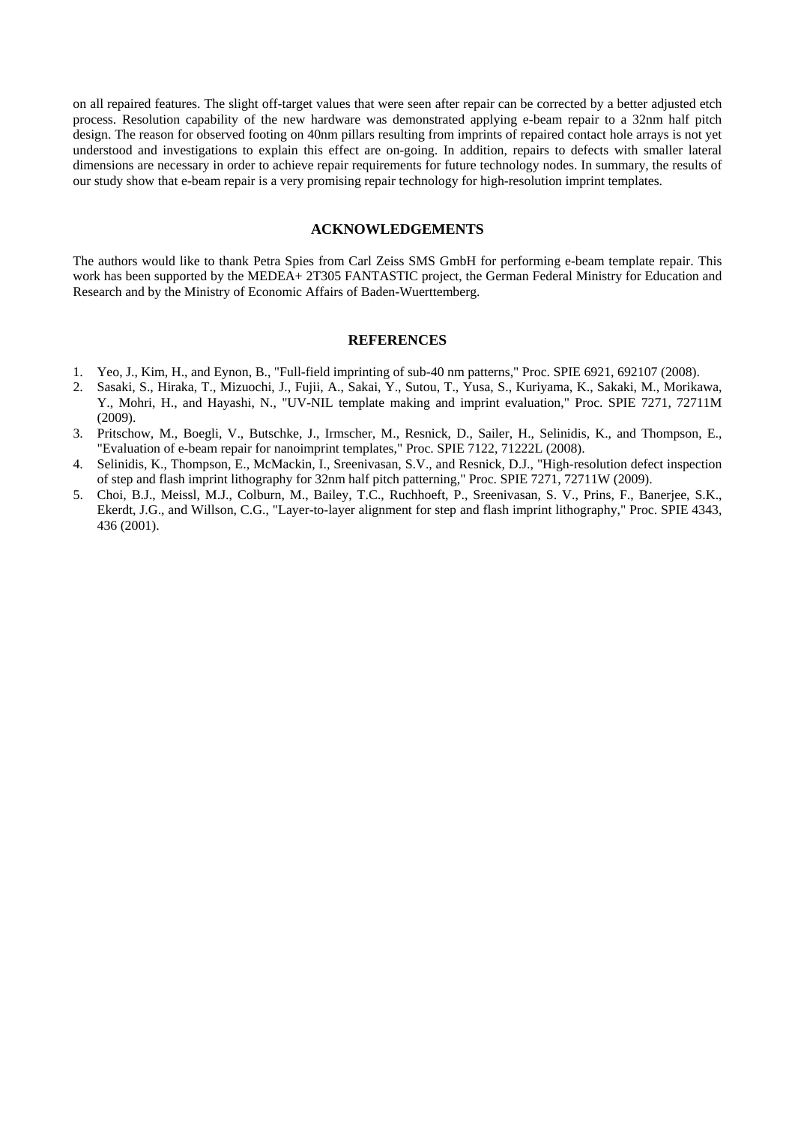on all repaired features. The slight off-target values that were seen after repair can be corrected by a better adjusted etch process. Resolution capability of the new hardware was demonstrated applying e-beam repair to a 32nm half pitch design. The reason for observed footing on 40nm pillars resulting from imprints of repaired contact hole arrays is not yet understood and investigations to explain this effect are on-going. In addition, repairs to defects with smaller lateral dimensions are necessary in order to achieve repair requirements for future technology nodes. In summary, the results of our study show that e-beam repair is a very promising repair technology for high-resolution imprint templates.

## **ACKNOWLEDGEMENTS**

The authors would like to thank Petra Spies from Carl Zeiss SMS GmbH for performing e-beam template repair. This work has been supported by the MEDEA+ 2T305 FANTASTIC project, the German Federal Ministry for Education and Research and by the Ministry of Economic Affairs of Baden-Wuerttemberg.

#### **REFERENCES**

- <span id="page-3-0"></span>1. Yeo, J., Kim, H., and Eynon, B., "Full-field imprinting of sub-40 nm patterns," Proc. SPIE 6921, 692107 (2008).
- <span id="page-3-1"></span>2. Sasaki, S., Hiraka, T., Mizuochi, J., Fujii, A., Sakai, Y., Sutou, T., Yusa, S., Kuriyama, K., Sakaki, M., Morikawa, Y., Mohri, H., and Hayashi, N., "UV-NIL template making and imprint evaluation," Proc. SPIE 7271, 72711M (2009).
- <span id="page-3-2"></span>3. Pritschow, M., Boegli, V., Butschke, J., Irmscher, M., Resnick, D., Sailer, H., Selinidis, K., and Thompson, E., "Evaluation of e-beam repair for nanoimprint templates," Proc. SPIE 7122, 71222L (2008).
- <span id="page-3-3"></span>4. Selinidis, K., Thompson, E., McMackin, I., Sreenivasan, S.V., and Resnick, D.J., "High-resolution defect inspection of step and flash imprint lithography for 32nm half pitch patterning," Proc. SPIE 7271, 72711W (2009).
- <span id="page-3-4"></span>5. Choi, B.J., Meissl, M.J., Colburn, M., Bailey, T.C., Ruchhoeft, P., Sreenivasan, S. V., Prins, F., Banerjee, S.K., Ekerdt, J.G., and Willson, C.G., "Layer-to-layer alignment for step and flash imprint lithography," Proc. SPIE 4343, 436 (2001).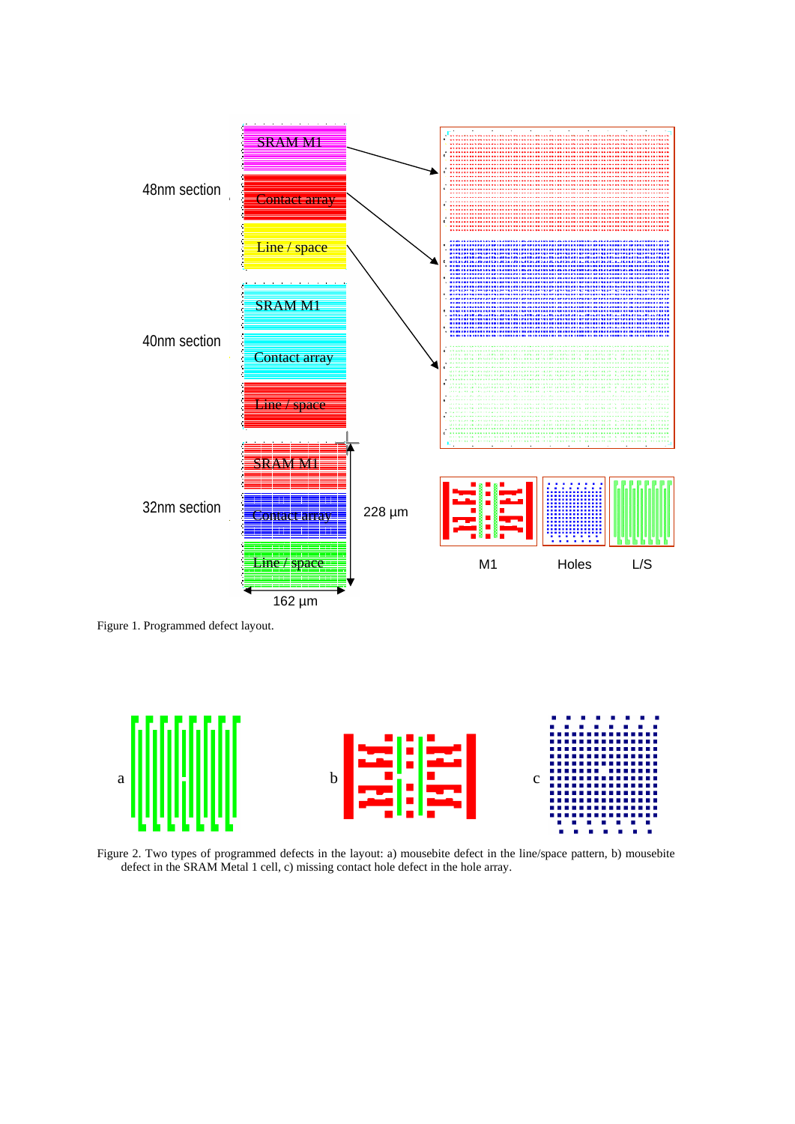

<span id="page-4-0"></span>Figure 1. Programmed defect layout.



<span id="page-4-1"></span>Figure 2. Two types of programmed defects in the layout: a) mousebite defect in the line/space pattern, b) mousebite defect in the SRAM Metal 1 cell, c) missing contact hole defect in the hole array.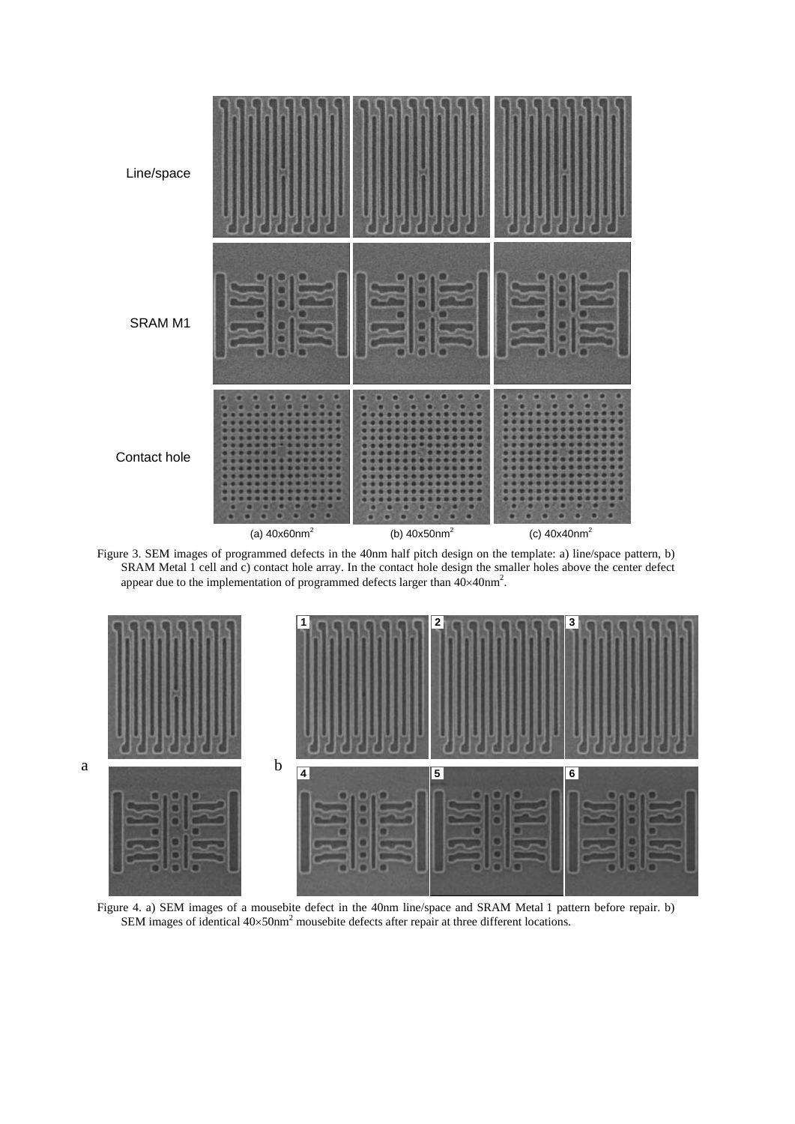

<span id="page-5-0"></span>Figure 3. SEM images of programmed defects in the 40nm half pitch design on the template: a) line/space pattern, b) SRAM Metal 1 cell and c) contact hole array. In the contact hole design the smaller holes above the center defect appear due to the implementation of programmed defects larger than  $40\times40$ nm<sup>2</sup>.



<span id="page-5-1"></span>Figure 4. a) SEM images of a mousebite defect in the 40nm line/space and SRAM Metal 1 pattern before repair. b) SEM images of identical  $40 \times 50$ nm<sup>2</sup> mousebite defects after repair at three different locations.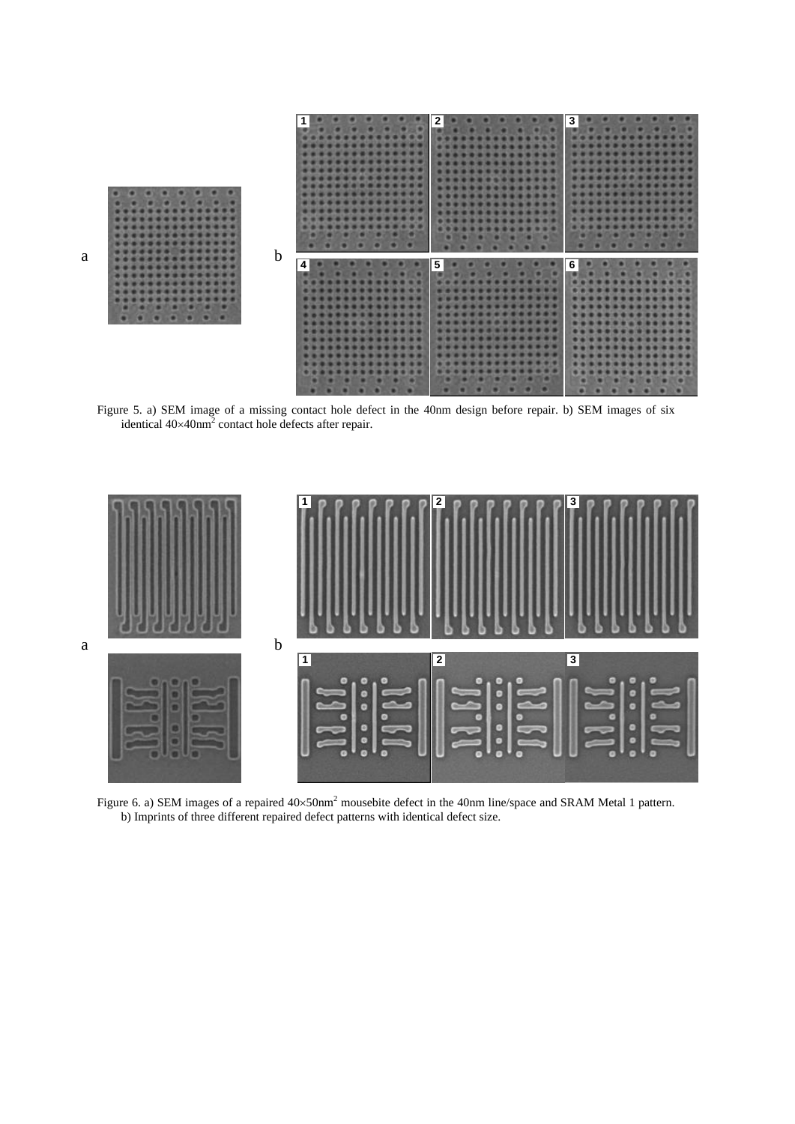

<span id="page-6-0"></span>Figure 5. a) SEM image of a missing contact hole defect in the 40nm design before repair. b) SEM images of six identical  $40\times40$ nm<sup>2</sup> contact hole defects after repair.



<span id="page-6-1"></span>Figure 6. a) SEM images of a repaired  $40 \times 50 \text{nm}^2$  mousebite defect in the 40nm line/space and SRAM Metal 1 pattern. b) Imprints of three different repaired defect patterns with identical defect size.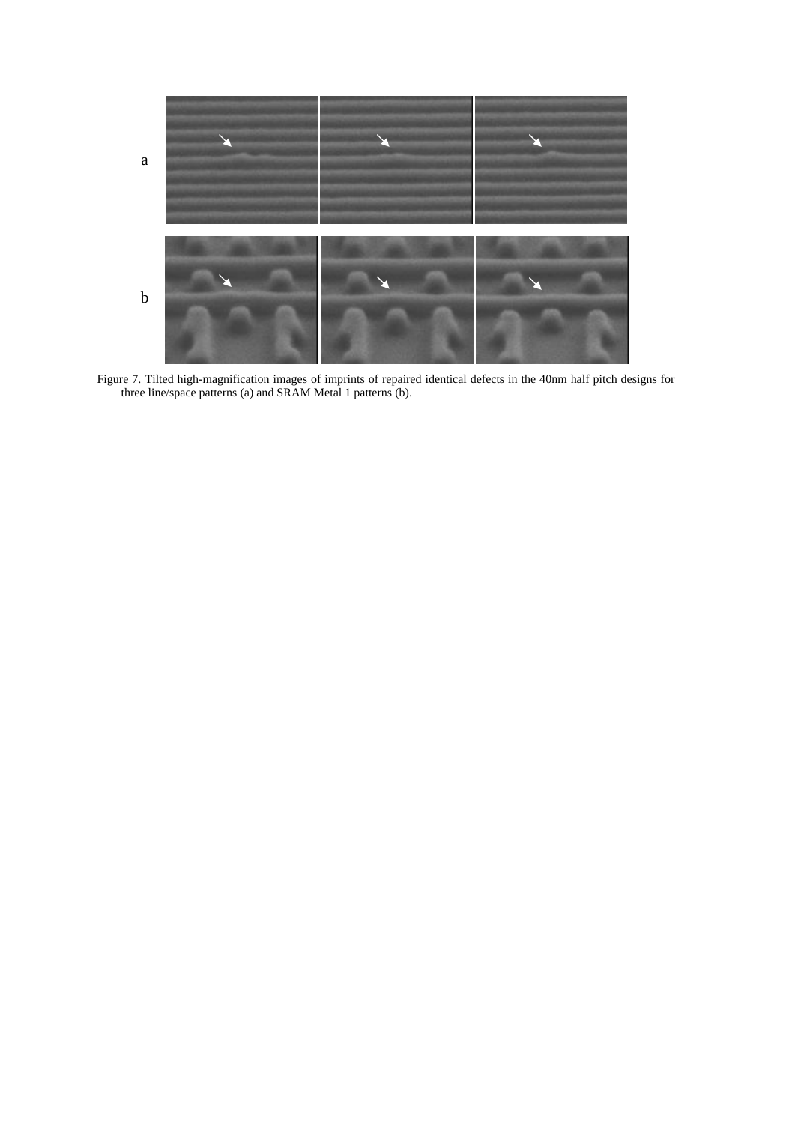

<span id="page-7-0"></span>Figure 7. Tilted high-magnification images of imprints of repaired identical defects in the 40nm half pitch designs for three line/space patterns (a) and SRAM Metal 1 patterns (b).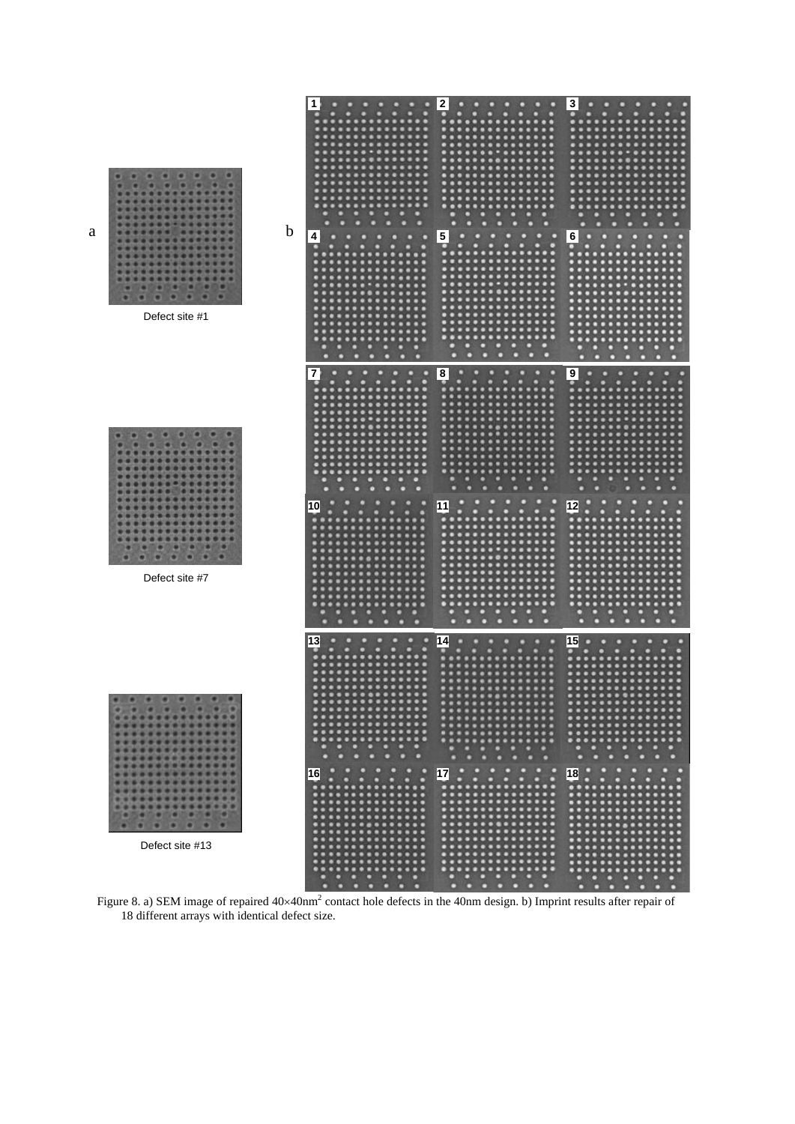

<span id="page-8-0"></span>Figure 8. a) SEM image of repaired  $40 \times 40$ nm<sup>2</sup> contact hole defects in the 40nm design. b) Imprint results after repair of 18 different arrays with identical defect size.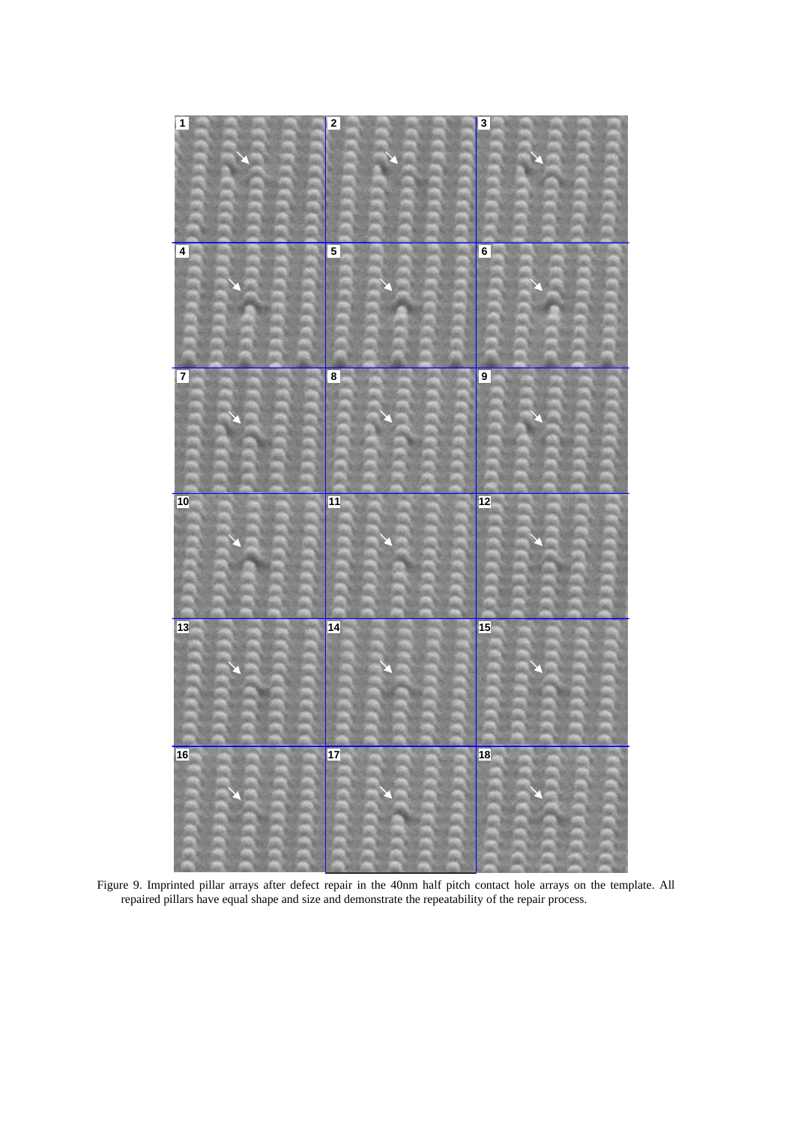

<span id="page-9-0"></span>Figure 9. Imprinted pillar arrays after defect repair in the 40nm half pitch contact hole arrays on the template. All repaired pillars have equal shape and size and demonstrate the repeatability of the repair process.